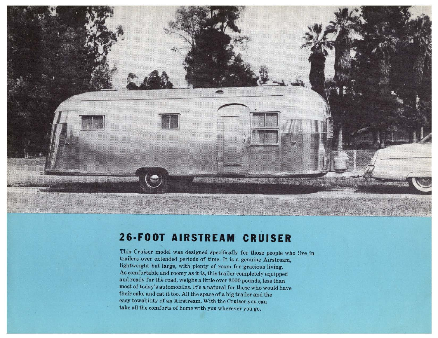

## **26·FOOT AIRSTREAM CRUISER**

This Cruiser model was designed specifically for those people who live in trailers over extended periods of time. It is a genuine Airstream, lightweight but large, with plenty of room for gracious living. As comfortable and roomy as it is, this trailer completely equipped and ready for the road, weighs a little over 3000 pounds, less than most of today's automobiles. It's a natural for those who would have their cake and eat it too. All the space of a big trailer and the easy towability of an Airstream. With the Cruiser you can take all the comforts of home with you wherever you go.